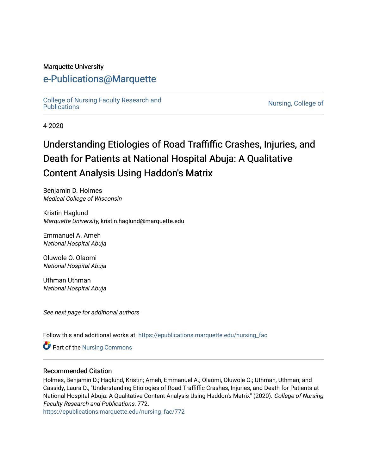## Marquette University

# [e-Publications@Marquette](https://epublications.marquette.edu/)

[College of Nursing Faculty Research and](https://epublications.marquette.edu/nursing_fac)<br>Publications

Nursing, College of

4-2020

# Understanding Etiologies of Road Traffiffic Crashes, Injuries, and Death for Patients at National Hospital Abuja: A Qualitative Content Analysis Using Haddon's Matrix

Benjamin D. Holmes Medical College of Wisconsin

Kristin Haglund Marquette University, kristin.haglund@marquette.edu

Emmanuel A. Ameh National Hospital Abuja

Oluwole O. Olaomi National Hospital Abuja

Uthman Uthman National Hospital Abuja

See next page for additional authors

Follow this and additional works at: [https://epublications.marquette.edu/nursing\\_fac](https://epublications.marquette.edu/nursing_fac?utm_source=epublications.marquette.edu%2Fnursing_fac%2F772&utm_medium=PDF&utm_campaign=PDFCoverPages)

Part of the [Nursing Commons](http://network.bepress.com/hgg/discipline/718?utm_source=epublications.marquette.edu%2Fnursing_fac%2F772&utm_medium=PDF&utm_campaign=PDFCoverPages) 

#### Recommended Citation

Holmes, Benjamin D.; Haglund, Kristin; Ameh, Emmanuel A.; Olaomi, Oluwole O.; Uthman, Uthman; and Cassidy, Laura D., "Understanding Etiologies of Road Traffiffic Crashes, Injuries, and Death for Patients at National Hospital Abuja: A Qualitative Content Analysis Using Haddon's Matrix" (2020). College of Nursing Faculty Research and Publications. 772.

[https://epublications.marquette.edu/nursing\\_fac/772](https://epublications.marquette.edu/nursing_fac/772?utm_source=epublications.marquette.edu%2Fnursing_fac%2F772&utm_medium=PDF&utm_campaign=PDFCoverPages)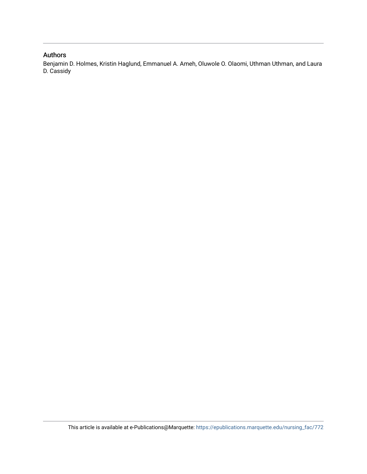# Authors

Benjamin D. Holmes, Kristin Haglund, Emmanuel A. Ameh, Oluwole O. Olaomi, Uthman Uthman, and Laura D. Cassidy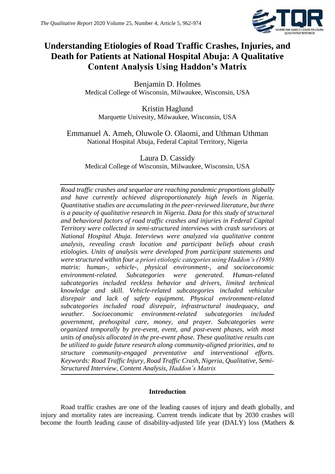

# **Understanding Etiologies of Road Traffic Crashes, Injuries, and Death for Patients at National Hospital Abuja: A Qualitative Content Analysis Using Haddon's Matrix**

Benjamin D. Holmes Medical College of Wisconsin, Milwaukee, Wisconsin, USA

Kristin Haglund Marquette Univesity, Milwaukee, Wisconsin, USA

Emmanuel A. Ameh, Oluwole O. Olaomi, and Uthman Uthman National Hospital Abuja, Federal Capital Territory, Nigeria

Laura D. Cassidy Medical College of Wisconsin, Milwaukee, Wisconsin, USA

*Road traffic crashes and sequelae are reaching pandemic proportions globally and have currently achieved disproportionately high levels in Nigeria. Quantitative studies are accumulating in the peer-reviewed literature, but there is a paucity of qualitative research in Nigeria. Data for this study of structural and behavioral factors of road traffic crashes and injuries in Federal Capital Territory were collected in semi-structured interviews with crash survivors at National Hospital Abuja. Interviews were analyzed via qualitative content analysis, revealing crash location and participant beliefs about crash etiologies. Units of analysis were developed from participant statements and were structured within four a priori etiologic categories using Haddon's (1980) matrix: human-, vehicle-, physical environment-, and socioeconomic environment-related. Subcategories were generated. Human-related subcategories included reckless behavior and drivers, limited technical knowledge and skill. Vehicle-related subcategories included vehicular disrepair and lack of safety equipment. Physical environment-related subcategories included road disrepair, infrastructural inadequacy, and weather. Socioeconomic environment-related subcategories included government, prehospital care, money, and prayer. Subcategories were organized temporally by pre-event, event, and post-event phases, with most units of analysis allocated in the pre-event phase. These qualitative results can be utilized to guide future research along community-aligned priorities, and to structure community-engaged preventative and interventional efforts. Keywords: Road Traffic Injury, Road Traffic Crash, Nigeria, Qualitative, Semi-Structured Interview, Content Analysis, Haddon's Matrix*

# **Introduction**

Road traffic crashes are one of the leading causes of injury and death globally, and injury and mortality rates are increasing. Current trends indicate that by 2030 crashes will become the fourth leading cause of disability-adjusted life year (DALY) loss (Mathers &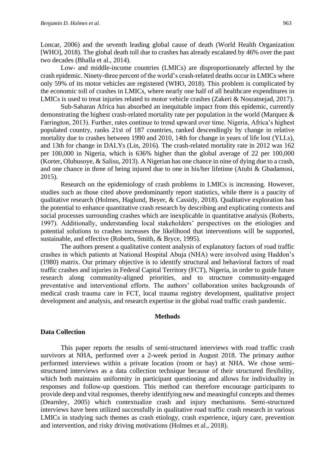Loncar, 2006) and the seventh leading global cause of death (World Health Organization [WHO], 2018). The global death toll due to crashes has already escalated by 46% over the past two decades (Bhalla et al., 2014).

Low- and middle-income countries (LMICs) are disproportionately affected by the crash epidemic. Ninety-three percent of the world's crash-related deaths occur in LMICs where only 59% of its motor vehicles are registered (WHO, 2018). This problem is complicated by the economic toll of crashes in LMICs, where nearly one half of all healthcare expenditures in LMICs is used to treat injuries related to motor vehicle crashes (Zakeri & Nosratnejad, 2017).

Sub-Saharan Africa has absorbed an inequitable impact from this epidemic, currently demonstrating the highest crash-related mortality rate per population in the world (Marquez & Farrington, 2013). Further, rates continue to trend upward over time. Nigeria, Africa's highest populated country, ranks 21st of 187 countries, ranked descendingly by change in relative mortality due to crashes between 1990 and 2010, 14th for change in years of life lost (YLLs), and 13th for change in DALYs (Lin, 2016). The crash-related mortality rate in 2012 was 162 per 100,000 in Nigeria, which is 636% higher than the global average of 22 per 100,000 (Korter, Olubusoye, & Salisu, 2013). A Nigerian has one chance in nine of dying due to a crash, and one chance in three of being injured due to one in his/her lifetime (Atubi & Gbadamosi, 2015).

Research on the epidemiology of crash problems in LMICs is increasing. However, studies such as those cited above predominantly report statistics, while there is a paucity of qualitative research (Holmes, Haglund, Beyer, & Cassidy, 2018). Qualitative exploration has the potential to enhance quantitative crash research by describing and explicating contexts and social processes surrounding crashes which are inexplicable in quantitative analysis (Roberts, 1997). Additionally, understanding local stakeholders' perspectives on the etiologies and potential solutions to crashes increases the likelihood that interventions will be supported, sustainable, and effective (Roberts, Smith, & Bryce, 1995).

The authors present a qualitative content analysis of explanatory factors of road traffic crashes in which patients at National Hospital Abuja (NHA) were involved using Haddon's (1980) matrix. Our primary objective is to identify structural and behavioral factors of road traffic crashes and injuries in Federal Capital Territory (FCT), Nigeria, in order to guide future research along community-aligned priorities, and to structure community-engaged preventative and interventional efforts. The authors' collaboration unites backgrounds of medical crash trauma care in FCT, local trauma registry development, qualitative project development and analysis, and research expertise in the global road traffic crash pandemic.

#### **Methods**

#### **Data Collection**

This paper reports the results of semi-structured interviews with road traffic crash survivors at NHA, performed over a 2-week period in August 2018. The primary author performed interviews within a private location (room or bay) at NHA. We chose semistructured interviews as a data collection technique because of their structured flexibility, which both maintains uniformity in participant questioning and allows for individuality in responses and follow-up questions. This method can therefore encourage participants to provide deep and vital responses, thereby identifying new and meaningful concepts and themes (Dearnley, 2005) which contextualize crash and injury mechanisms. Semi-structured interviews have been utilized successfully in qualitative road traffic crash research in various LMICs in studying such themes as crash etiology, crash experience, injury care, prevention and intervention, and risky driving motivations (Holmes et al., 2018).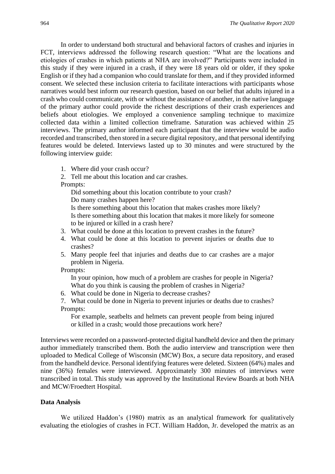In order to understand both structural and behavioral factors of crashes and injuries in FCT, interviews addressed the following research question: "What are the locations and etiologies of crashes in which patients at NHA are involved?" Participants were included in this study if they were injured in a crash, if they were 18 years old or older, if they spoke English or if they had a companion who could translate for them, and if they provided informed consent. We selected these inclusion criteria to facilitate interactions with participants whose narratives would best inform our research question, based on our belief that adults injured in a crash who could communicate, with or without the assistance of another, in the native language of the primary author could provide the richest descriptions of their crash experiences and beliefs about etiologies. We employed a convenience sampling technique to maximize collected data within a limited collection timeframe. Saturation was achieved within 25 interviews. The primary author informed each participant that the interview would be audio recorded and transcribed, then stored in a secure digital repository, and that personal identifying features would be deleted. Interviews lasted up to 30 minutes and were structured by the following interview guide:

1. Where did your crash occur?

2. Tell me about this location and car crashes.

Prompts:

Did something about this location contribute to your crash? Do many crashes happen here? Is there something about this location that makes crashes more likely? Is there something about this location that makes it more likely for someone to be injured or killed in a crash here?

- 3. What could be done at this location to prevent crashes in the future?
- 4. What could be done at this location to prevent injuries or deaths due to crashes?
- 5. Many people feel that injuries and deaths due to car crashes are a major problem in Nigeria.

Prompts:

In your opinion, how much of a problem are crashes for people in Nigeria? What do you think is causing the problem of crashes in Nigeria?

- 6. What could be done in Nigeria to decrease crashes?
- 7. What could be done in Nigeria to prevent injuries or deaths due to crashes? Prompts:

For example, seatbelts and helmets can prevent people from being injured or killed in a crash; would those precautions work here?

Interviews were recorded on a password-protected digital handheld device and then the primary author immediately transcribed them. Both the audio interview and transcription were then uploaded to Medical College of Wisconsin (MCW) Box, a secure data repository, and erased from the handheld device. Personal identifying features were deleted. Sixteen (64%) males and nine (36%) females were interviewed. Approximately 300 minutes of interviews were transcribed in total. This study was approved by the Institutional Review Boards at both NHA and MCW/Froedtert Hospital.

# **Data Analysis**

We utilized Haddon's (1980) matrix as an analytical framework for qualitatively evaluating the etiologies of crashes in FCT. William Haddon, Jr. developed the matrix as an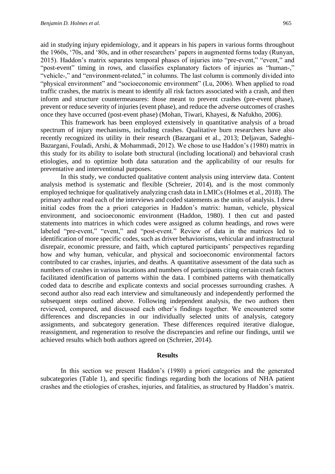aid in studying injury epidemiology, and it appears in his papers in various forms throughout the 1960s, '70s, and '80s, and in other researchers' papers in augmented forms today (Runyan, 2015). Haddon's matrix separates temporal phases of injuries into "pre-event," "event," and "post-event" timing in rows, and classifies explanatory factors of injuries as "human-," "vehicle-," and "environment-related," in columns. The last column is commonly divided into "physical environment" and "socioeconomic environment" (Lu, 2006). When applied to road traffic crashes, the matrix is meant to identify all risk factors associated with a crash, and then inform and structure countermeasures: those meant to prevent crashes (pre-event phase), prevent or reduce severity of injuries (event phase), and reduce the adverse outcomes of crashes once they have occurred (post-event phase) (Mohan, Tiwari, Khayesi, & Nafukho, 2006).

This framework has been employed extensively in quantitative analysis of a broad spectrum of injury mechanisms, including crashes. Qualitative burn researchers have also recently recognized its utility in their research (Bazargani et al., 2013; Deljavan, Sadeghi-Bazargani, Fouladi, Arshi, & Mohammadi, 2012). We chose to use Haddon's (1980) matrix in this study for its ability to isolate both structural (including locational) and behavioral crash etiologies, and to optimize both data saturation and the applicability of our results for preventative and interventional purposes.

In this study, we conducted qualitative content analysis using interview data. Content analysis method is systematic and flexible (Schreier, 2014), and is the most commonly employed technique for qualitatively analyzing crash data in LMICs (Holmes et al., 2018). The primary author read each of the interviews and coded statements as the units of analysis. I drew initial codes from the a priori categories in Haddon's matrix: human, vehicle, physical environment, and socioeconomic environment (Haddon, 1980). I then cut and pasted statements into matrices in which codes were assigned as column headings, and rows were labeled "pre-event," "event," and "post-event." Review of data in the matrices led to identification of more specific codes, such as driver behaviorisms, vehicular and infrastructural disrepair, economic pressure, and faith, which captured participants' perspectives regarding how and why human, vehicular, and physical and socioeconomic environmental factors contributed to car crashes, injuries, and deaths. A quantitative assessment of the data such as numbers of crashes in various locations and numbers of participants citing certain crash factors facilitated identification of patterns within the data. I combined patterns with thematically coded data to describe and explicate contexts and social processes surrounding crashes. A second author also read each interview and simultaneously and independently performed the subsequent steps outlined above. Following independent analysis, the two authors then reviewed, compared, and discussed each other's findings together. We encountered some differences and discrepancies in our individually selected units of analysis, category assignments, and subcategory generation. These differences required iterative dialogue, reassignment, and regeneration to resolve the discrepancies and refine our findings, until we achieved results which both authors agreed on (Schreier, 2014).

#### **Results**

In this section we present Haddon's (1980) a priori categories and the generated subcategories (Table 1), and specific findings regarding both the locations of NHA patient crashes and the etiologies of crashes, injuries, and fatalities, as structured by Haddon's matrix.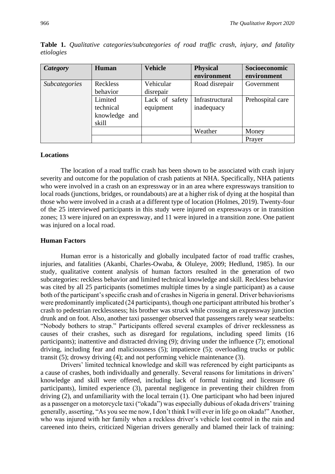| Category             | Human                                          | <b>Vehicle</b>              | <b>Physical</b><br>environment | Socioeconomic<br>environment |
|----------------------|------------------------------------------------|-----------------------------|--------------------------------|------------------------------|
| <b>Subcategories</b> | Reckless<br>behavior                           | Vehicular<br>disrepair      | Road disrepair                 | Government                   |
|                      | Limited<br>technical<br>knowledge and<br>skill | Lack of safety<br>equipment | Infrastructural<br>inadequacy  | Prehospital care             |
|                      |                                                |                             | Weather                        | Money                        |
|                      |                                                |                             |                                | Prayer                       |

**Table 1.** *Qualitative categories/subcategories of road traffic crash, injury, and fatality etiologies*

#### **Locations**

The location of a road traffic crash has been shown to be associated with crash injury severity and outcome for the population of crash patients at NHA. Specifically, NHA patients who were involved in a crash on an expressway or in an area where expressways transition to local roads (junctions, bridges, or roundabouts) are at a higher risk of dying at the hospital than those who were involved in a crash at a different type of location (Holmes, 2019). Twenty-four of the 25 interviewed participants in this study were injured on expressways or in transition zones; 13 were injured on an expressway, and 11 were injured in a transition zone. One patient was injured on a local road.

#### **Human Factors**

Human error is a historically and globally inculpated factor of road traffic crashes, injuries, and fatalities (Akanbi, Charles-Owaba, & Oluleye, 2009; Hedlund, 1985). In our study, qualitative content analysis of human factors resulted in the generation of two subcategories: reckless behavior and limited technical knowledge and skill. Reckless behavior was cited by all 25 participants (sometimes multiple times by a single participant) as a cause both of the participant's specific crash and of crashes in Nigeria in general. Driver behaviorisms were predominantly implicated (24 participants), though one participant attributed his brother's crash to pedestrian recklessness; his brother was struck while crossing an expressway junction drunk and on foot. Also, another taxi passenger observed that passengers rarely wear seatbelts: "Nobody bothers to strap." Participants offered several examples of driver recklessness as causes of their crashes, such as disregard for regulations, including speed limits (16 participants); inattentive and distracted driving (9); driving under the influence (7); emotional driving, including fear and maliciousness (5); impatience (5); overloading trucks or public transit (5); drowsy driving (4); and not performing vehicle maintenance (3).

Drivers' limited technical knowledge and skill was referenced by eight participants as a cause of crashes, both individually and generally. Several reasons for limitations in drivers' knowledge and skill were offered, including lack of formal training and licensure (6 participants), limited experience (3), parental negligence in preventing their children from driving (2), and unfamiliarity with the local terrain (1). One participant who had been injured as a passenger on a motorcycle taxi ("okada") was especially dubious of okada drivers' training generally, asserting, "As you see me now, I don't think I will ever in life go on okada!" Another, who was injured with her family when a reckless driver's vehicle lost control in the rain and careened into theirs, criticized Nigerian drivers generally and blamed their lack of training: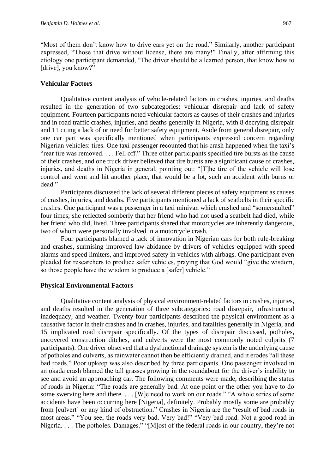"Most of them don't know how to drive cars yet on the road." Similarly, another participant expressed, "Those that drive without license, there are many!" Finally, after affirming this etiology one participant demanded, "The driver should be a learned person, that know how to [drive], you know?"

#### **Vehicular Factors**

Qualitative content analysis of vehicle-related factors in crashes, injuries, and deaths resulted in the generation of two subcategories: vehicular disrepair and lack of safety equipment. Fourteen participants noted vehicular factors as causes of their crashes and injuries and in road traffic crashes, injuries, and deaths generally in Nigeria, with 8 decrying disrepair and 11 citing a lack of or need for better safety equipment. Aside from general disrepair, only one car part was specifically mentioned when participants expressed concern regarding Nigerian vehicles: tires. One taxi passenger recounted that his crash happened when the taxi's "rear tire was removed. . . . Fell off." Three other participants specified tire bursts as the cause of their crashes, and one truck driver believed that tire bursts are a significant cause of crashes, injuries, and deaths in Nigeria in general, pointing out: "[T]he tire of the vehicle will lose control and went and hit another place, that would be a lot, such an accident with burns or dead."

Participants discussed the lack of several different pieces of safety equipment as causes of crashes, injuries, and deaths. Five participants mentioned a lack of seatbelts in their specific crashes. One participant was a passenger in a taxi minivan which crashed and "somersaulted" four times; she reflected somberly that her friend who had not used a seatbelt had died, while her friend who did, lived. Three participants shared that motorcycles are inherently dangerous, two of whom were personally involved in a motorcycle crash.

Four participants blamed a lack of innovation in Nigerian cars for both rule-breaking and crashes, surmising improved law abidance by drivers of vehicles equipped with speed alarms and speed limiters, and improved safety in vehicles with airbags. One participant even pleaded for researchers to produce safer vehicles, praying that God would "give the wisdom, so those people have the wisdom to produce a [safer] vehicle."

#### **Physical Environmental Factors**

Qualitative content analysis of physical environment-related factors in crashes, injuries, and deaths resulted in the generation of three subcategories: road disrepair, infrastructural inadequacy, and weather. Twenty-four participants described the physical environment as a causative factor in their crashes and in crashes, injuries, and fatalities generally in Nigeria, and 15 implicated road disrepair specifically. Of the types of disrepair discussed, potholes, uncovered construction ditches, and culverts were the most commonly noted culprits (7 participants). One driver observed that a dysfunctional drainage system is the underlying cause of potholes and culverts, as rainwater cannot then be efficiently drained, and it erodes "all these bad roads." Poor upkeep was also described by three participants. One passenger involved in an okada crash blamed the tall grasses growing in the roundabout for the driver's inability to see and avoid an approaching car. The following comments were made, describing the status of roads in Nigeria: "The roads are generally bad. At one point or the other you have to do some swerving here and there. . . . [W]e need to work on our roads." "A whole series of some accidents have been occurring here [Nigeria], definitely. Probably mostly some are probably from [culvert] or any kind of obstruction." Crashes in Nigeria are the "result of bad roads in most areas." "You see, the roads very bad. Very bad!" "Very bad road. Not a good road in Nigeria. . . . The potholes. Damages." "[M]ost of the federal roads in our country, they're not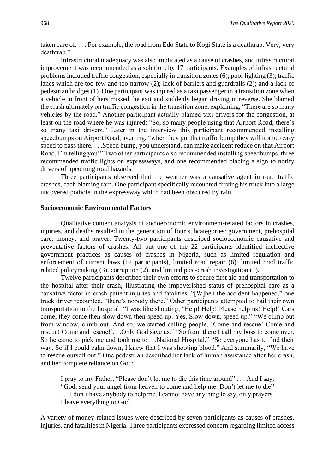taken care of. . . . For example, the road from Edo State to Kogi State is a deathtrap. Very, very deathtrap."

Infrastructural inadequacy was also implicated as a cause of crashes, and infrastructural improvement was recommended as a solution, by 17 participants. Examples of infrastructural problems included traffic congestion, especially in transition zones (6); poor lighting (3); traffic lanes which are too few and too narrow (2); lack of barriers and guardrails (2); and a lack of pedestrian bridges (1). One participant was injured as a taxi passenger in a transition zone when a vehicle in front of hers missed the exit and suddenly began driving in reverse. She blamed the crash ultimately on traffic congestion in the transition zone, explaining, "There are so many vehicles by the road." Another participant actually blamed taxi drivers for the congestion, at least on the road where he was injured: "So, so many people using that Airport Road; there's so many taxi drivers." Later in the interview this participant recommended installing speedbumps on Airport Road, averring, "when they put that traffic bump they will not too easy speed to pass there. . . .Speed bump, you understand, can make accident reduce on that Airport Road, I'm telling you!" Two other participants also recommended installing speedbumps, three recommended traffic lights on expressways, and one recommended placing a sign to notify drivers of upcoming road hazards.

Three participants observed that the weather was a causative agent in road traffic crashes, each blaming rain. One participant specifically recounted driving his truck into a large uncovered pothole in the expressway which had been obscured by rain.

# **Socioeconomic Environmental Factors**

Qualitative content analysis of socioeconomic environment-related factors in crashes, injuries, and deaths resulted in the generation of four subcategories: government, prehospital care, money, and prayer. Twenty-two participants described socioeconomic causative and preventative factors of crashes. All but one of the 22 participants identified ineffective government practices as causes of crashes in Nigeria, such as limited regulation and enforcement of current laws (12 participants), limited road repair (6), limited road traffic related policymaking (3), corruption (2), and limited post-crash investigation (1).

Twelve participants described their own efforts to secure first aid and transportation to the hospital after their crash, illustrating the impoverished status of prehospital care as a causative factor in crash patient injuries and fatalities. "[W]hen the accident happened," one truck driver recounted, "there's nobody there." Other participants attempted to hail their own transportation to the hospital: "I was like shouting, 'Help! Help! Please help us! Help!' Cars come, they come then slow down then speed up. Yes. Slow down, speed up." "We climb out from window, climb out. And so, we started calling people, 'Come and rescue! Come and rescue! Come and rescue!'. . .Only God save us." "So from there I call my boss to come over. So he came to pick me and took me to. . .National Hospital." "So everyone has to find their way. So if I could calm down, I knew that I was shooting blood." And summarily, "We have to rescue ourself out." One pedestrian described her lack of human assistance after her crash, and her complete reliance on God:

I pray to my Father, "Please don't let me to die this time around" . . . And I say, "God, send your angel from heaven to come and help me. Don't let me to die" ... I don't have any body to help me. I cannot have any thing to say, only prayers. I leave everything to God.

A variety of money-related issues were described by seven participants as causes of crashes, injuries, and fatalities in Nigeria. Three participants expressed concern regarding limited access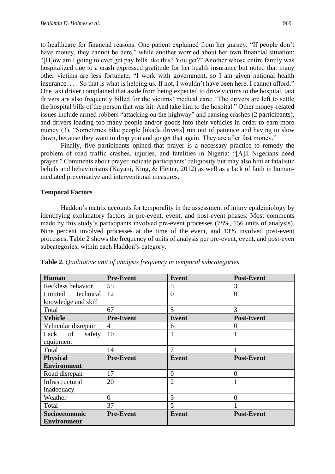to healthcare for financial reasons. One patient explained from her gurney, "If people don't have money, they cannot be here," while another worried about her own financial situation: "[H]ow am I going to ever get pay bills like this? You get?" Another whose entire family was hospitalized due to a crash expressed gratitude for her health insurance but noted that many other victims are less fortunate: "I work with government, so I am given national health insurance. . . . So that is what is helping us. If not, I wouldn't have been here. I cannot afford." One taxi driver complained that aside from being expected to drive victims to the hospital, taxi drivers are also frequently billed for the victims' medical care: "The drivers are left to settle the hospital bills of the person that was hit. And take him to the hospital." Other money-related issues include armed robbers "attacking on the highway" and causing crashes (2 participants), and drivers loading too many people and/or goods into their vehicles in order to earn more money (3). "Sometimes bike people [okada drivers] run out of patience and having to slow down, because they want to drop you and go get that again. They are after fast money."

Finally, five participants opined that prayer is a necessary practice to remedy the problem of road traffic crashes, injuries, and fatalities in Nigeria: "[A]ll Nigerians need prayer." Comments about prayer indicate participants' religiosity but may also hint at fatalistic beliefs and behaviorisms (Kayani, King, & Fleiter, 2012) as well as a lack of faith in humanmediated preventative and interventional measures.

#### **Temporal Factors**

Haddon's matrix accounts for temporality in the assessment of injury epidemiology by identifying explanatory factors in pre-event, event, and post-event phases. Most comments made by this study's participants involved pre-event processes (78%, 156 units of analysis). Nine percent involved processes at the time of the event, and 13% involved post-event processes. Table 2 shows the frequency of units of analysis per pre-event, event, and post-even subcategories, within each Haddon's category.

| Human               | <b>Pre-Event</b> | <b>Event</b>   | <b>Post-Event</b> |
|---------------------|------------------|----------------|-------------------|
| Reckless behavior   | 55               | 5              | 3                 |
| Limited technical   | 12               | $\theta$       | $\overline{0}$    |
| knowledge and skill |                  |                |                   |
| Total               | 67               | 5              | 3                 |
| <b>Vehicle</b>      | <b>Pre-Event</b> | <b>Event</b>   | <b>Post-Event</b> |
| Vehicular disrepair | 4                | 6              | $\Omega$          |
| Lack of<br>safety   | 10               | 1              | 1                 |
| equipment           |                  |                |                   |
| Total               | 14               | 7              |                   |
| <b>Physical</b>     | <b>Pre-Event</b> | <b>Event</b>   | <b>Post-Event</b> |
| <b>Environment</b>  |                  |                |                   |
| Road disrepair      | 17               | $\overline{0}$ | $\theta$          |
| Infrastructural     | 20               | $\overline{2}$ |                   |
| inadequacy          |                  |                |                   |
| Weather             | $\overline{0}$   | 3              | $\overline{0}$    |
| Total               | 37               | 5              |                   |
| Socioeconomic       | <b>Pre-Event</b> | <b>Event</b>   | <b>Post-Event</b> |
| <b>Environment</b>  |                  |                |                   |

**Table 2.** *Qualitative unit of analysis frequency in temporal subcategories*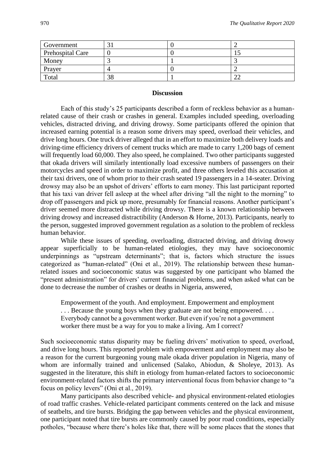| Government       |    |    |
|------------------|----|----|
| Prehospital Care |    |    |
| Money            |    |    |
| Prayer           |    |    |
| Total            | 38 | ∠∠ |

#### **Discussion**

Each of this study's 25 participants described a form of reckless behavior as a humanrelated cause of their crash or crashes in general. Examples included speeding, overloading vehicles, distracted driving, and driving drowsy. Some participants offered the opinion that increased earning potential is a reason some drivers may speed, overload their vehicles, and drive long hours. One truck driver alleged that in an effort to maximize both delivery loads and driving-time efficiency drivers of cement trucks which are made to carry 1,200 bags of cement will frequently load 60,000. They also speed, he complained. Two other participants suggested that okada drivers will similarly intentionally load excessive numbers of passengers on their motorcycles and speed in order to maximize profit, and three others leveled this accusation at their taxi drivers, one of whom prior to their crash seated 19 passengers in a 14-seater. Driving drowsy may also be an upshot of drivers' efforts to earn money. This last participant reported that his taxi van driver fell asleep at the wheel after driving "all the night to the morning" to drop off passengers and pick up more, presumably for financial reasons. Another participant's driver seemed more distracted while driving drowsy. There is a known relationship between driving drowsy and increased distractibility (Anderson & Horne, 2013). Participants, nearly to the person, suggested improved government regulation as a solution to the problem of reckless human behavior.

While these issues of speeding, overloading, distracted driving, and driving drowsy appear superficially to be human-related etiologies, they may have socioeconomic underpinnings as "upstream determinants"; that is, factors which structure the issues categorized as "human-related" (Oni et al., 2019). The relationship between these humanrelated issues and socioeconomic status was suggested by one participant who blamed the "present administration" for drivers' current financial problems, and when asked what can be done to decrease the number of crashes or deaths in Nigeria, answered,

Empowerment of the youth. And employment. Empowerment and employment ... Because the young boys when they graduate are not being empowered.... Everybody cannot be a government worker. But even if you're not a government worker there must be a way for you to make a living. Am I correct?

Such socioeconomic status disparity may be fueling drivers' motivation to speed, overload, and drive long hours. This reported problem with empowerment and employment may also be a reason for the current burgeoning young male okada driver population in Nigeria, many of whom are informally trained and unlicensed (Salako, Abiodun, & Sholeye, 2013). As suggested in the literature, this shift in etiology from human-related factors to socioeconomic environment-related factors shifts the primary interventional focus from behavior change to "a focus on policy levers" (Oni et al., 2019).

Many participants also described vehicle- and physical environment-related etiologies of road traffic crashes. Vehicle-related participant comments centered on the lack and misuse of seatbelts, and tire bursts. Bridging the gap between vehicles and the physical environment, one participant noted that tire bursts are commonly caused by poor road conditions, especially potholes, "because where there's holes like that, there will be some places that the stones that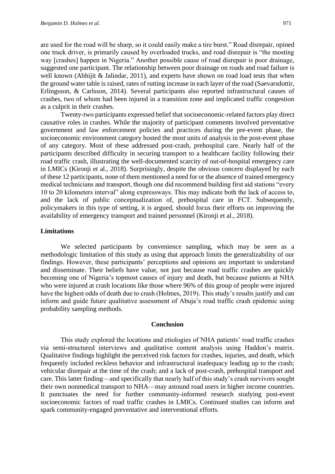are used for the road will be sharp, so it could easily make a tire burst." Road disrepair, opined one truck driver, is primarily caused by overloaded trucks, and road disrepair is "the mosting way [crashes] happen in Nigeria." Another possible cause of road disrepair is poor drainage, suggested one participant. The relationship between poor drainage on roads and road failure is well known (Abhijit & Jalindar, 2011), and experts have shown on road load tests that when the ground water table is raised, rates of rutting increase in each layer of the road (Saevarsdottir, Erlingsson, & Carlsson, 2014). Several participants also reported infrastructural causes of crashes, two of whom had been injured in a transition zone and implicated traffic congestion as a culprit in their crashes.

Twenty-two participants expressed belief that socioeconomic-related factors play direct causative roles in crashes. While the majority of participant comments involved preventative government and law enforcement policies and practices during the pre-event phase, the socioeconomic environment category hosted the most units of analysis in the post-event phase of any category. Most of these addressed post-crash, prehospital care. Nearly half of the participants described difficulty in securing transport to a healthcare facility following their road traffic crash, illustrating the well-documented scarcity of out-of-hospital emergency care in LMICs (Kironji et al., 2018). Surprisingly, despite the obvious concern displayed by each of these 12 participants, none of them mentioned a need for or the absence of trained emergency medical technicians and transport, though one did recommend building first aid stations "every 10 to 20 kilometers interval" along expressways. This may indicate both the lack of access to, and the lack of public conceptualization of, prehospital care in FCT. Subsequently, policymakers in this type of setting, it is argued, should focus their efforts on improving the availability of emergency transport and trained personnel (Kironji et al., 2018).

## **Limitations**

We selected participants by convenience sampling, which may be seen as a methodologic limitation of this study as using that approach limits the generalizability of our findings. However, these participants' perceptions and opinions are important to understand and disseminate. Their beliefs have value, not just because road traffic crashes are quickly becoming one of Nigeria's topmost causes of injury and death, but because patients at NHA who were injured at crash locations like those where 96% of this group of people were injured have the highest odds of death due to crash (Holmes, 2019). This study's results justify and can inform and guide future qualitative assessment of Abuja's road traffic crash epidemic using probability sampling methods.

#### **Conclusion**

This study explored the locations and etiologies of NHA patients' road traffic crashes via semi-structured interviews and qualitative content analysis using Haddon's matrix. Qualitative findings highlight the perceived risk factors for crashes, injuries, and death, which frequently included reckless behavior and infrastructural inadequacy leading up to the crash; vehicular disrepair at the time of the crash; and a lack of post-crash, prehospital transport and care. This latter finding—and specifically that nearly half of this study's crash survivors sought their own nonmedical transport to NHA—may astound road users in higher income countries. It punctuates the need for further community-informed research studying post-event socioeconomic factors of road traffic crashes in LMICs. Continued studies can inform and spark community-engaged preventative and interventional efforts.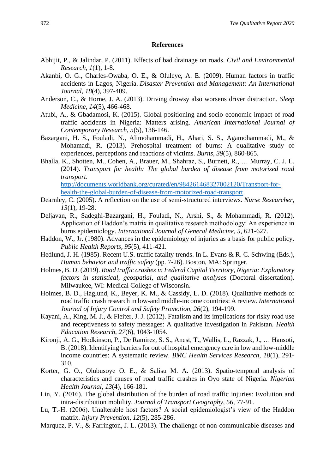#### **References**

- Abhijit, P., & Jalindar, P. (2011). Effects of bad drainage on roads. *Civil and Environmental Research, 1*(1), 1-8.
- Akanbi, O. G., Charles-Owaba, O. E., & Oluleye, A. E. (2009). Human factors in traffic accidents in Lagos, Nigeria. *Disaster Prevention and Management: An International Journal*, *18*(4), 397-409.
- Anderson, C., & Horne, J. A. (2013). Driving drowsy also worsens driver distraction. *Sleep Medicine, 14*(5), 466-468.
- Atubi, A., & Gbadamosi, K. (2015). Global positioning and socio-economic impact of road traffic accidents in Nigeria: Matters arising. *American International Journal of Contemporary Research*, *5*(5), 136-146.
- Bazargani, H. S., Fouladi, N., Alimohammadi, H., Ahari, S. S., Agamohammadi, M., & Mohamadi, R. (2013). Prehospital treatment of burns: A qualitative study of experiences, perceptions and reactions of victims. *Burns, 39*(5), 860-865.
- Bhalla, K., Shotten, M., Cohen, A., Brauer, M., Shahraz, S., Burnett, R., … Murray, C. J. L. (2014). *Transport for health: The global burden of disease from motorized road transport*. [http://documents.worldbank.org/curated/en/984261468327002120/Transport-for-](http://documents.worldbank.org/curated/en/984261468327002120/Transport-for-health-the-global-burden-of-disease-from-motorized-road-transport)

[health-the-global-burden-of-disease-from-motorized-road-transport](http://documents.worldbank.org/curated/en/984261468327002120/Transport-for-health-the-global-burden-of-disease-from-motorized-road-transport)

- Dearnley, C. (2005). A reflection on the use of semi-structured interviews. *Nurse Researcher, 13*(1), 19-28.
- Deljavan, R., Sadeghi-Bazargani, H., Fouladi, N., Arshi, S., & Mohammadi, R. (2012). Application of Haddon's matrix in qualitative research methodology: An experience in burns epidemiology. *International Journal of General Medicine, 5*, 621-627.
- Haddon, W., Jr. (1980). Advances in the epidemiology of injuries as a basis for public policy. *Public Health Reports, 95*(5), 411-421.
- Hedlund, J. H. (1985). Recent U.S. traffic fatality trends. In L. Evans & R. C. Schwing (Eds.), *Human behavior and traffic safety* (pp. 7-26). Boston, MA: Springer.
- Holmes, B. D. (2019). *Road traffic crashes in Federal Capital Territory, Nigeria: Explanatory factors in statistical, geospatial, and qualitative analyses* (Doctoral dissertation). Milwaukee, WI: Medical College of Wisconsin.
- Holmes, B. D., Haglund, K., Beyer, K. M., & Cassidy, L. D. (2018). Qualitative methods of road traffic crash research in low-and middle-income countries: A review. *International Journal of Injury Control and Safety Promotion, 26*(2), 194-199.
- Kayani, A., King, M. J., & Fleiter, J. J. (2012). Fatalism and its implications for risky road use and receptiveness to safety messages: A qualitative investigation in Pakistan. *Health Education Research, 27*(6), 1043-1054.
- Kironji, A. G., Hodkinson, P., De Ramirez, S. S., Anest, T., Wallis, L., Razzak, J., … Hansoti, B. (2018). Identifying barriers for out of hospital emergency care in low and low-middle income countries: A systematic review. *BMC Health Services Research, 18*(1), 291- 310.
- Korter, G. O., Olubusoye O. E., & Salisu M. A. (2013). Spatio-temporal analysis of characteristics and causes of road traffic crashes in Oyo state of Nigeria. *Nigerian Health Journal, 13*(4), 166-181.
- Lin, Y. (2016). The global distribution of the burden of road traffic injuries: Evolution and intra-distribution mobility. *Journal of Transport Geography, 56*, 77-91.
- Lu, T.-H. (2006). Unalterable host factors? A social epidemiologist's view of the Haddon matrix. *Injury Prevention, 12*(5), 285-286.
- Marquez, P. V., & Farrington, J. L. (2013). The challenge of non-communicable diseases and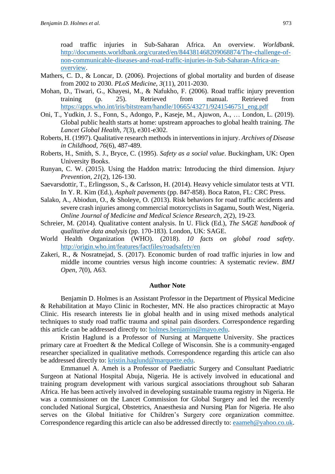road traffic injuries in Sub-Saharan Africa. An overview. *Worldbank*. [http://documents.worldbank.org/curated/en/844381468209068874/The-challenge-of](http://documents.worldbank.org/curated/en/844381468209068874/The-challenge-of-non-communicable-diseases-and-road-traffic-injuries-in-Sub-Saharan-Africa-an-overview)[non-communicable-diseases-and-road-traffic-injuries-in-Sub-Saharan-Africa-an](http://documents.worldbank.org/curated/en/844381468209068874/The-challenge-of-non-communicable-diseases-and-road-traffic-injuries-in-Sub-Saharan-Africa-an-overview)[overview.](http://documents.worldbank.org/curated/en/844381468209068874/The-challenge-of-non-communicable-diseases-and-road-traffic-injuries-in-Sub-Saharan-Africa-an-overview)

- Mathers, C. D., & Loncar, D. (2006). Projections of global mortality and burden of disease from 2002 to 2030. *PLoS Medicine, 3*(11), 2011-2030.
- Mohan, D., Tiwari, G., Khayesi, M., & Nafukho, F. (2006). Road traffic injury prevention training (p. 25). Retrieved from manual. Retrieved from [https://apps.who.int/iris/bitstream/handle/10665/43271/9241546751\\_eng.pdf](https://apps.who.int/iris/bitstream/handle/10665/43271/9241546751_eng.pdf)
- Oni, T., Yudkin, J. S., Fonn, S., Adongo, P., Kaseje, M., Ajuwon, A., … London, L. (2019). Global public health starts at home: upstream approaches to global health training. *The Lancet Global Health, 7*(3), e301-e302.
- Roberts, H. (1997). Qualitative research methods in interventions in injury. *Archives of Disease in Childhood, 76*(6), 487-489.
- Roberts, H., Smith, S. J., Bryce, C. (1995). *Safety as a social value*. Buckingham, UK: Open University Books.
- Runyan, C. W. (2015). Using the Haddon matrix: Introducing the third dimension. *Injury Prevention, 21*(2), 126-130.
- Saevarsdottir, T., Erlingsson, S., & Carlsson, H. (2014). Heavy vehicle simulator tests at VTI. In Y. R. Kim (Ed.), *Asphalt pavements* (pp. 847-858). Boca Raton, FL: CRC Press.
- Salako, A., Abiodun, O., & Sholeye, O. (2013). Risk behaviors for road traffic accidents and severe crash injuries among commercial motorcyclists in Sagamu, South West, Nigeria. *Online Journal of Medicine and Medical Science Research, 2*(2), 19-23.
- Schreier, M. (2014). Qualitative content analysis. In U. Flick (Ed.), *The SAGE handbook of qualitative data analysis* (pp. 170-183). London, UK: SAGE.
- World Health Organization (WHO). (2018). *10 facts on global road safety*. <http://origin.who.int/features/factfiles/roadsafety/en>
- Zakeri, R., & Nosratnejad, S. (2017). Economic burden of road traffic injuries in low and middle income countries versus high income countries: A systematic review. *BMJ Open, 7*(0), A63.

#### **Author Note**

Benjamin D. Holmes is an Assistant Professor in the Department of Physical Medicine & Rehabilitation at Mayo Clinic in Rochester, MN. He also practices chiropractic at Mayo Clinic. His research interests lie in global health and in using mixed methods analytical techniques to study road traffic trauma and spinal pain disorders. Correspondence regarding this article can be addressed directly to: [holmes.benjamin@mayo.edu.](mailto:holmes.benjamin@mayo.edu)

Kristin Haglund is a Professor of Nursing at Marquette University. She practices primary care at Froedtert & the Medical College of Wisconsin. She is a community-engaged researcher specialized in qualitative methods. Correspondence regarding this article can also be addressed directly to: [kristin.haglund@marquette.edu.](mailto:kristin.haglund@marquette.edu)

Emmanuel A. Ameh is a Professor of Paediatric Surgery and Consultant Paediatric Surgeon at National Hospital Abuja, Nigeria. He is actively involved in educational and training program development with various surgical associations throughout sub Saharan Africa. He has been actively involved in developing sustainable trauma registry in Nigeria. He was a commissioner on the Lancet Commission for Global Surgery and led the recently concluded National Surgical, Obstetrics, Anaesthesia and Nursing Plan for Nigeria. He also serves on the Global Initiative for Children's Surgery core organization committee. Correspondence regarding this article can also be addressed directly to: [eaameh@yahoo.co.uk.](mailto:eaameh@yahoo.co.uk)